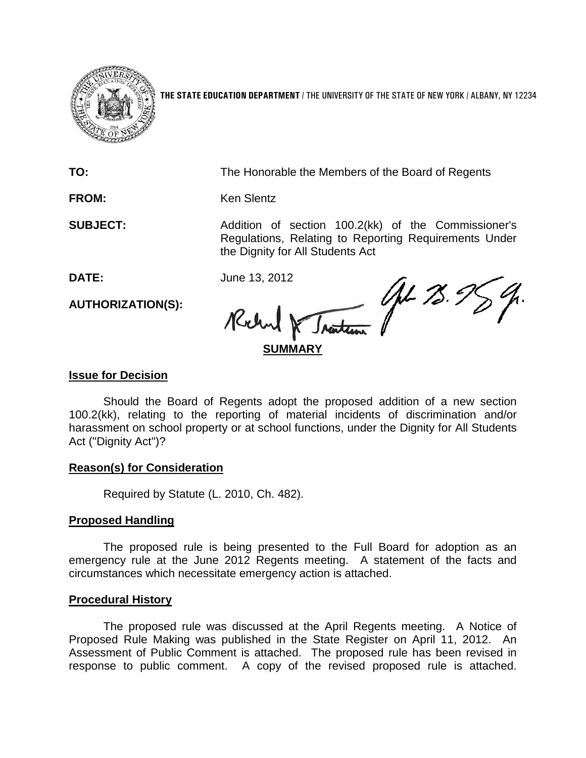

**THE STATE EDUCATION DEPARTMENT** / THE UNIVERSITY OF THE STATE OF NEW YORK / ALBANY, NY 12234

**TO:** The Honorable the Members of the Board of Regents

FROM: Ken Slentz

**SUBJECT:** Addition of section 100.2(kk) of the Commissioner's Regulations, Relating to Reporting Requirements Under the Dignity for All Students Act

**DATE:** June 13, 2012

**AUTHORIZATION(S):**

W Jnatum (AL 73.5) Richard

# **Issue for Decision**

Should the Board of Regents adopt the proposed addition of a new section 100.2(kk), relating to the reporting of material incidents of discrimination and/or harassment on school property or at school functions, under the Dignity for All Students Act ("Dignity Act")?

# **Reason(s) for Consideration**

Required by Statute (L. 2010, Ch. 482).

# **Proposed Handling**

The proposed rule is being presented to the Full Board for adoption as an emergency rule at the June 2012 Regents meeting. A statement of the facts and circumstances which necessitate emergency action is attached.

# **Procedural History**

The proposed rule was discussed at the April Regents meeting. A Notice of Proposed Rule Making was published in the State Register on April 11, 2012. An Assessment of Public Comment is attached. The proposed rule has been revised in response to public comment. A copy of the revised proposed rule is attached.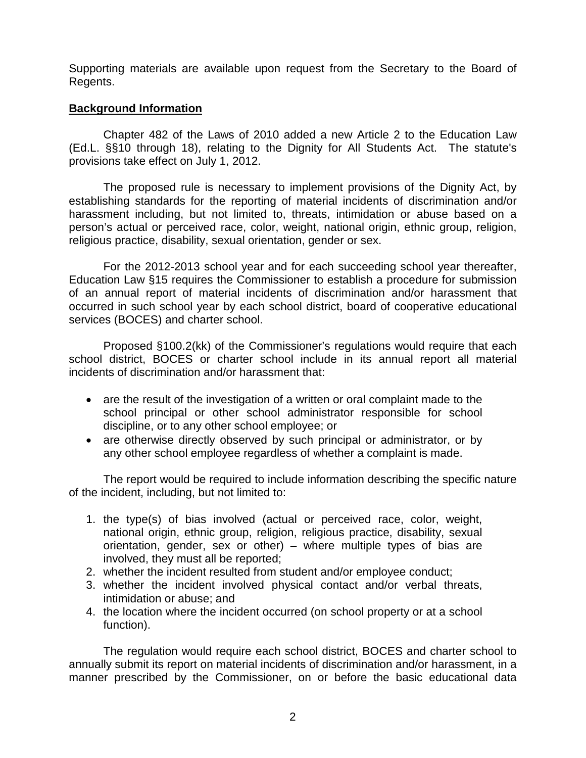Supporting materials are available upon request from the Secretary to the Board of Regents.

# **Background Information**

Chapter 482 of the Laws of 2010 added a new Article 2 to the Education Law (Ed.L. §§10 through 18), relating to the Dignity for All Students Act. The statute's provisions take effect on July 1, 2012.

The proposed rule is necessary to implement provisions of the Dignity Act, by establishing standards for the reporting of material incidents of discrimination and/or harassment including, but not limited to, threats, intimidation or abuse based on a person's actual or perceived race, color, weight, national origin, ethnic group, religion, religious practice, disability, sexual orientation, gender or sex.

For the 2012-2013 school year and for each succeeding school year thereafter, Education Law §15 requires the Commissioner to establish a procedure for submission of an annual report of material incidents of discrimination and/or harassment that occurred in such school year by each school district, board of cooperative educational services (BOCES) and charter school.

Proposed §100.2(kk) of the Commissioner's regulations would require that each school district, BOCES or charter school include in its annual report all material incidents of discrimination and/or harassment that:

- are the result of the investigation of a written or oral complaint made to the school principal or other school administrator responsible for school discipline, or to any other school employee; or
- are otherwise directly observed by such principal or administrator, or by any other school employee regardless of whether a complaint is made.

The report would be required to include information describing the specific nature of the incident, including, but not limited to:

- 1. the type(s) of bias involved (actual or perceived race, color, weight, national origin, ethnic group, religion, religious practice, disability, sexual orientation, gender, sex or other) – where multiple types of bias are involved, they must all be reported;
- 2. whether the incident resulted from student and/or employee conduct;
- 3. whether the incident involved physical contact and/or verbal threats, intimidation or abuse; and
- 4. the location where the incident occurred (on school property or at a school function).

The regulation would require each school district, BOCES and charter school to annually submit its report on material incidents of discrimination and/or harassment, in a manner prescribed by the Commissioner, on or before the basic educational data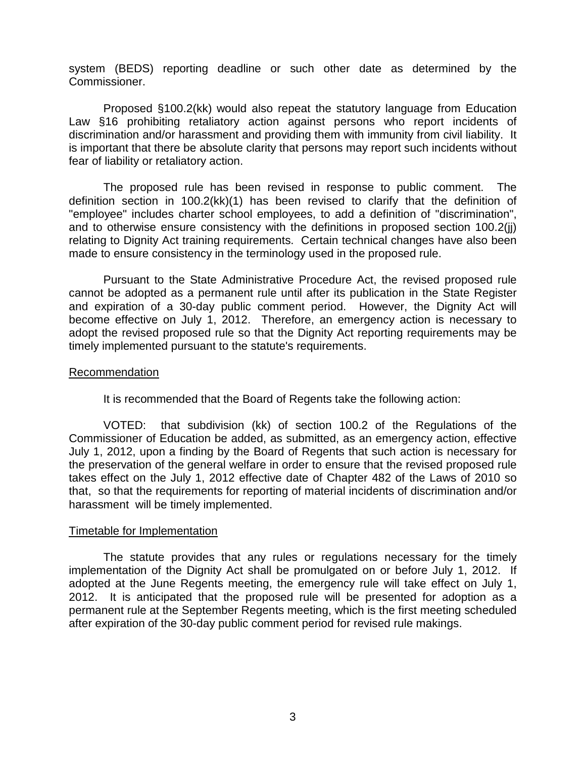system (BEDS) reporting deadline or such other date as determined by the Commissioner.

Proposed §100.2(kk) would also repeat the statutory language from Education Law §16 prohibiting retaliatory action against persons who report incidents of discrimination and/or harassment and providing them with immunity from civil liability. It is important that there be absolute clarity that persons may report such incidents without fear of liability or retaliatory action.

The proposed rule has been revised in response to public comment. The definition section in 100.2(kk)(1) has been revised to clarify that the definition of "employee" includes charter school employees, to add a definition of "discrimination", and to otherwise ensure consistency with the definitions in proposed section 100.2(jj) relating to Dignity Act training requirements. Certain technical changes have also been made to ensure consistency in the terminology used in the proposed rule.

Pursuant to the State Administrative Procedure Act, the revised proposed rule cannot be adopted as a permanent rule until after its publication in the State Register and expiration of a 30-day public comment period. However, the Dignity Act will become effective on July 1, 2012. Therefore, an emergency action is necessary to adopt the revised proposed rule so that the Dignity Act reporting requirements may be timely implemented pursuant to the statute's requirements.

## Recommendation

It is recommended that the Board of Regents take the following action:

VOTED: that subdivision (kk) of section 100.2 of the Regulations of the Commissioner of Education be added, as submitted, as an emergency action, effective July 1, 2012, upon a finding by the Board of Regents that such action is necessary for the preservation of the general welfare in order to ensure that the revised proposed rule takes effect on the July 1, 2012 effective date of Chapter 482 of the Laws of 2010 so that, so that the requirements for reporting of material incidents of discrimination and/or harassment will be timely implemented.

## Timetable for Implementation

The statute provides that any rules or regulations necessary for the timely implementation of the Dignity Act shall be promulgated on or before July 1, 2012. If adopted at the June Regents meeting, the emergency rule will take effect on July 1, 2012. It is anticipated that the proposed rule will be presented for adoption as a permanent rule at the September Regents meeting, which is the first meeting scheduled after expiration of the 30-day public comment period for revised rule makings.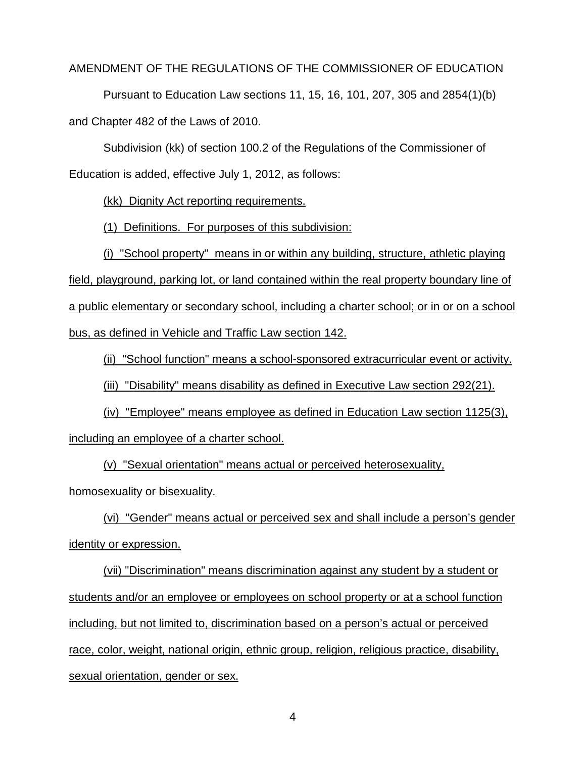## AMENDMENT OF THE REGULATIONS OF THE COMMISSIONER OF EDUCATION

Pursuant to Education Law sections 11, 15, 16, 101, 207, 305 and 2854(1)(b) and Chapter 482 of the Laws of 2010.

Subdivision (kk) of section 100.2 of the Regulations of the Commissioner of Education is added, effective July 1, 2012, as follows:

(kk) Dignity Act reporting requirements.

(1) Definitions. For purposes of this subdivision:

(i) "School property" means in or within any building, structure, athletic playing field, playground, parking lot, or land contained within the real property boundary line of a public elementary or secondary school, including a charter school; or in or on a school bus, as defined in Vehicle and Traffic Law section 142.

(ii) "School function" means a school-sponsored extracurricular event or activity.

(iii) "Disability" means disability as defined in Executive Law section 292(21).

(iv) "Employee" means employee as defined in Education Law section 1125(3), including an employee of a charter school.

(v) "Sexual orientation" means actual or perceived heterosexuality, homosexuality or bisexuality.

(vi) "Gender" means actual or perceived sex and shall include a person's gender identity or expression.

(vii) "Discrimination" means discrimination against any student by a student or students and/or an employee or employees on school property or at a school function including, but not limited to, discrimination based on a person's actual or perceived race, color, weight, national origin, ethnic group, religion, religious practice, disability, sexual orientation, gender or sex.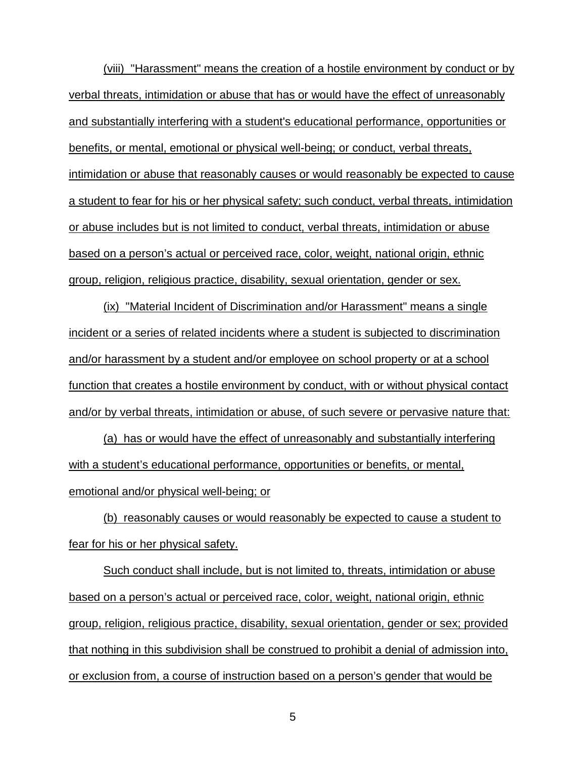(viii) "Harassment" means the creation of a hostile environment by conduct or by verbal threats, intimidation or abuse that has or would have the effect of unreasonably and substantially interfering with a student's educational performance, opportunities or benefits, or mental, emotional or physical well-being; or conduct, verbal threats, intimidation or abuse that reasonably causes or would reasonably be expected to cause a student to fear for his or her physical safety; such conduct, verbal threats, intimidation or abuse includes but is not limited to conduct, verbal threats, intimidation or abuse based on a person's actual or perceived race, color, weight, national origin, ethnic group, religion, religious practice, disability, sexual orientation, gender or sex.

(ix) "Material Incident of Discrimination and/or Harassment" means a single incident or a series of related incidents where a student is subjected to discrimination and/or harassment by a student and/or employee on school property or at a school function that creates a hostile environment by conduct, with or without physical contact and/or by verbal threats, intimidation or abuse, of such severe or pervasive nature that:

(a) has or would have the effect of unreasonably and substantially interfering with a student's educational performance, opportunities or benefits, or mental, emotional and/or physical well-being; or

(b) reasonably causes or would reasonably be expected to cause a student to fear for his or her physical safety.

Such conduct shall include, but is not limited to, threats, intimidation or abuse based on a person's actual or perceived race, color, weight, national origin, ethnic group, religion, religious practice, disability, sexual orientation, gender or sex; provided that nothing in this subdivision shall be construed to prohibit a denial of admission into, or exclusion from, a course of instruction based on a person's gender that would be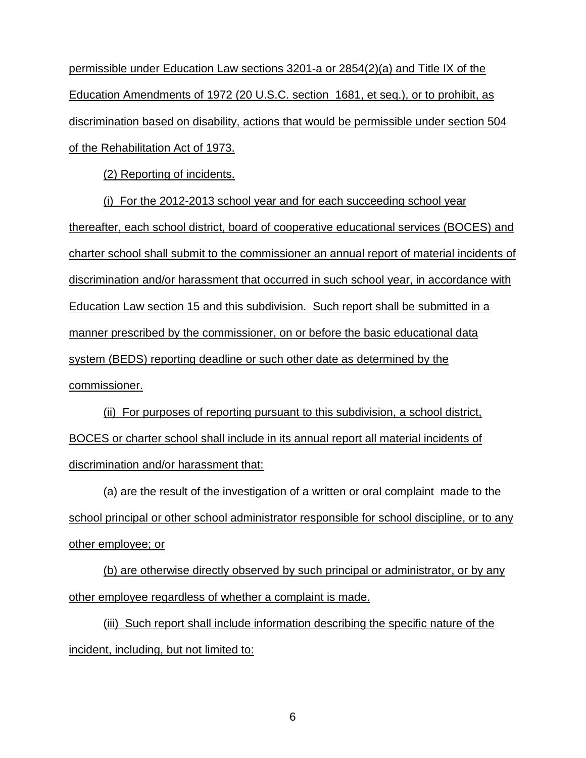permissible under Education Law sections 3201-a or 2854(2)(a) and Title IX of the Education Amendments of 1972 (20 U.S.C. section 1681, et seq.), or to prohibit, as discrimination based on disability, actions that would be permissible under section 504 of the Rehabilitation Act of 1973.

(2) Reporting of incidents.

(i) For the 2012-2013 school year and for each succeeding school year thereafter, each school district, board of cooperative educational services (BOCES) and charter school shall submit to the commissioner an annual report of material incidents of discrimination and/or harassment that occurred in such school year, in accordance with Education Law section 15 and this subdivision. Such report shall be submitted in a manner prescribed by the commissioner, on or before the basic educational data system (BEDS) reporting deadline or such other date as determined by the commissioner.

(ii) For purposes of reporting pursuant to this subdivision, a school district, BOCES or charter school shall include in its annual report all material incidents of discrimination and/or harassment that:

(a) are the result of the investigation of a written or oral complaint made to the school principal or other school administrator responsible for school discipline, or to any other employee; or

(b) are otherwise directly observed by such principal or administrator, or by any other employee regardless of whether a complaint is made.

(iii) Such report shall include information describing the specific nature of the incident, including, but not limited to: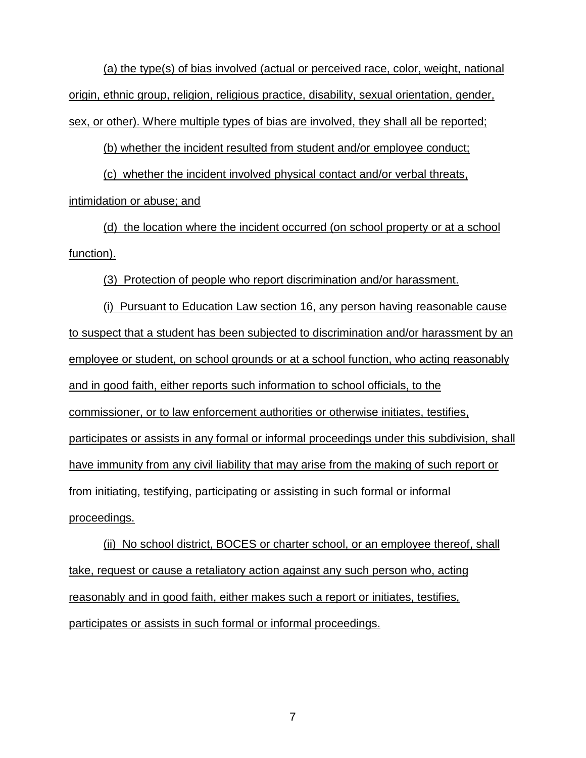(a) the type(s) of bias involved (actual or perceived race, color, weight, national origin, ethnic group, religion, religious practice, disability, sexual orientation, gender, sex, or other). Where multiple types of bias are involved, they shall all be reported;

(b) whether the incident resulted from student and/or employee conduct;

(c) whether the incident involved physical contact and/or verbal threats, intimidation or abuse; and

(d) the location where the incident occurred (on school property or at a school function).

(3) Protection of people who report discrimination and/or harassment.

(i) Pursuant to Education Law section 16, any person having reasonable cause to suspect that a student has been subjected to discrimination and/or harassment by an employee or student, on school grounds or at a school function, who acting reasonably and in good faith, either reports such information to school officials, to the commissioner, or to law enforcement authorities or otherwise initiates, testifies, participates or assists in any formal or informal proceedings under this subdivision, shall have immunity from any civil liability that may arise from the making of such report or from initiating, testifying, participating or assisting in such formal or informal proceedings.

(ii) No school district, BOCES or charter school, or an employee thereof, shall take, request or cause a retaliatory action against any such person who, acting reasonably and in good faith, either makes such a report or initiates, testifies, participates or assists in such formal or informal proceedings.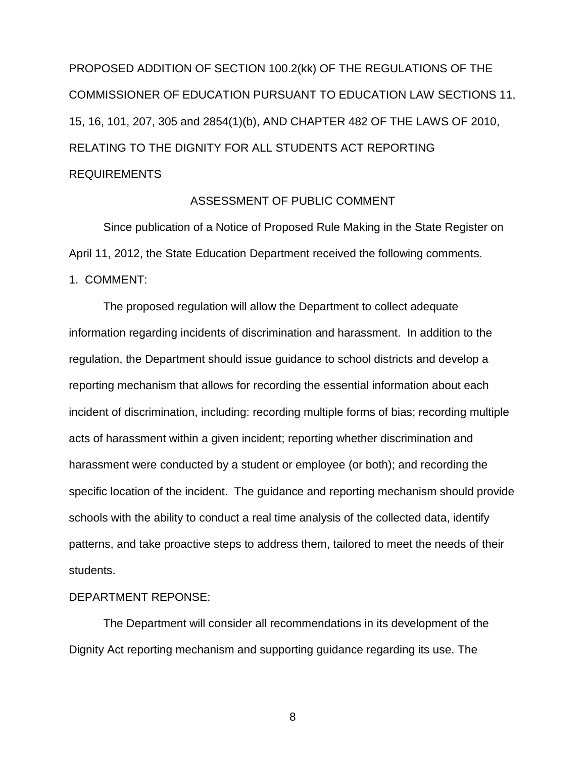PROPOSED ADDITION OF SECTION 100.2(kk) OF THE REGULATIONS OF THE COMMISSIONER OF EDUCATION PURSUANT TO EDUCATION LAW SECTIONS 11, 15, 16, 101, 207, 305 and 2854(1)(b), AND CHAPTER 482 OF THE LAWS OF 2010, RELATING TO THE DIGNITY FOR ALL STUDENTS ACT REPORTING REQUIREMENTS

## ASSESSMENT OF PUBLIC COMMENT

Since publication of a Notice of Proposed Rule Making in the State Register on April 11, 2012, the State Education Department received the following comments.

## 1. COMMENT:

The proposed regulation will allow the Department to collect adequate information regarding incidents of discrimination and harassment. In addition to the regulation, the Department should issue guidance to school districts and develop a reporting mechanism that allows for recording the essential information about each incident of discrimination, including: recording multiple forms of bias; recording multiple acts of harassment within a given incident; reporting whether discrimination and harassment were conducted by a student or employee (or both); and recording the specific location of the incident. The guidance and reporting mechanism should provide schools with the ability to conduct a real time analysis of the collected data, identify patterns, and take proactive steps to address them, tailored to meet the needs of their students.

## DEPARTMENT REPONSE:

The Department will consider all recommendations in its development of the Dignity Act reporting mechanism and supporting guidance regarding its use. The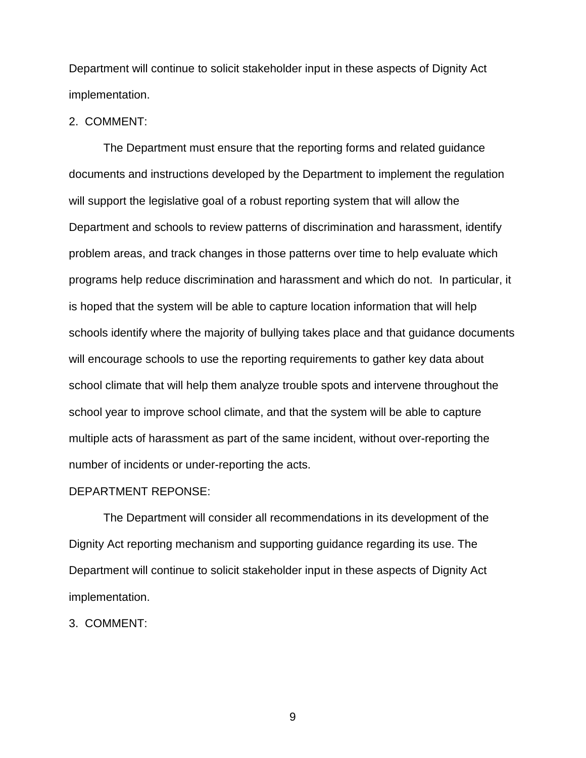Department will continue to solicit stakeholder input in these aspects of Dignity Act implementation.

## 2. COMMENT:

The Department must ensure that the reporting forms and related guidance documents and instructions developed by the Department to implement the regulation will support the legislative goal of a robust reporting system that will allow the Department and schools to review patterns of discrimination and harassment, identify problem areas, and track changes in those patterns over time to help evaluate which programs help reduce discrimination and harassment and which do not. In particular, it is hoped that the system will be able to capture location information that will help schools identify where the majority of bullying takes place and that guidance documents will encourage schools to use the reporting requirements to gather key data about school climate that will help them analyze trouble spots and intervene throughout the school year to improve school climate, and that the system will be able to capture multiple acts of harassment as part of the same incident, without over-reporting the number of incidents or under-reporting the acts.

#### DEPARTMENT REPONSE:

The Department will consider all recommendations in its development of the Dignity Act reporting mechanism and supporting guidance regarding its use. The Department will continue to solicit stakeholder input in these aspects of Dignity Act implementation.

## 3. COMMENT: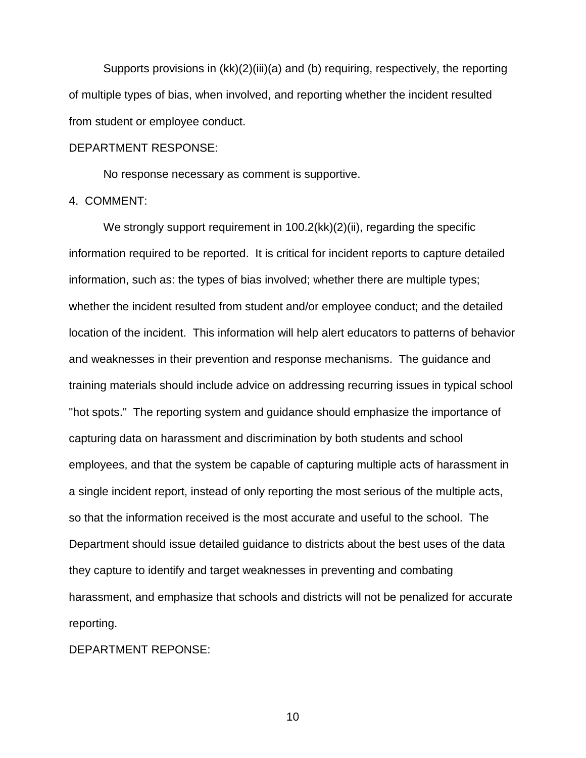Supports provisions in (kk)(2)(iii)(a) and (b) requiring, respectively, the reporting of multiple types of bias, when involved, and reporting whether the incident resulted from student or employee conduct.

#### DEPARTMENT RESPONSE:

No response necessary as comment is supportive.

#### 4. COMMENT:

We strongly support requirement in 100.2(kk)(2)(ii), regarding the specific information required to be reported. It is critical for incident reports to capture detailed information, such as: the types of bias involved; whether there are multiple types; whether the incident resulted from student and/or employee conduct; and the detailed location of the incident. This information will help alert educators to patterns of behavior and weaknesses in their prevention and response mechanisms. The guidance and training materials should include advice on addressing recurring issues in typical school "hot spots." The reporting system and guidance should emphasize the importance of capturing data on harassment and discrimination by both students and school employees, and that the system be capable of capturing multiple acts of harassment in a single incident report, instead of only reporting the most serious of the multiple acts, so that the information received is the most accurate and useful to the school. The Department should issue detailed guidance to districts about the best uses of the data they capture to identify and target weaknesses in preventing and combating harassment, and emphasize that schools and districts will not be penalized for accurate reporting.

DEPARTMENT REPONSE: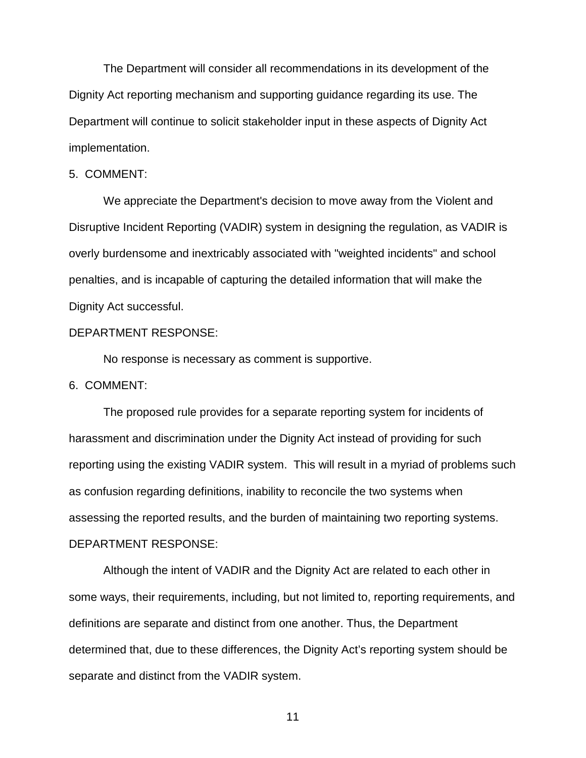The Department will consider all recommendations in its development of the Dignity Act reporting mechanism and supporting guidance regarding its use. The Department will continue to solicit stakeholder input in these aspects of Dignity Act implementation.

#### 5. COMMENT:

We appreciate the Department's decision to move away from the Violent and Disruptive Incident Reporting (VADIR) system in designing the regulation, as VADIR is overly burdensome and inextricably associated with "weighted incidents" and school penalties, and is incapable of capturing the detailed information that will make the Dignity Act successful.

#### DEPARTMENT RESPONSE:

No response is necessary as comment is supportive.

## 6. COMMENT:

The proposed rule provides for a separate reporting system for incidents of harassment and discrimination under the Dignity Act instead of providing for such reporting using the existing VADIR system. This will result in a myriad of problems such as confusion regarding definitions, inability to reconcile the two systems when assessing the reported results, and the burden of maintaining two reporting systems. DEPARTMENT RESPONSE:

Although the intent of VADIR and the Dignity Act are related to each other in some ways, their requirements, including, but not limited to, reporting requirements, and definitions are separate and distinct from one another. Thus, the Department determined that, due to these differences, the Dignity Act's reporting system should be separate and distinct from the VADIR system.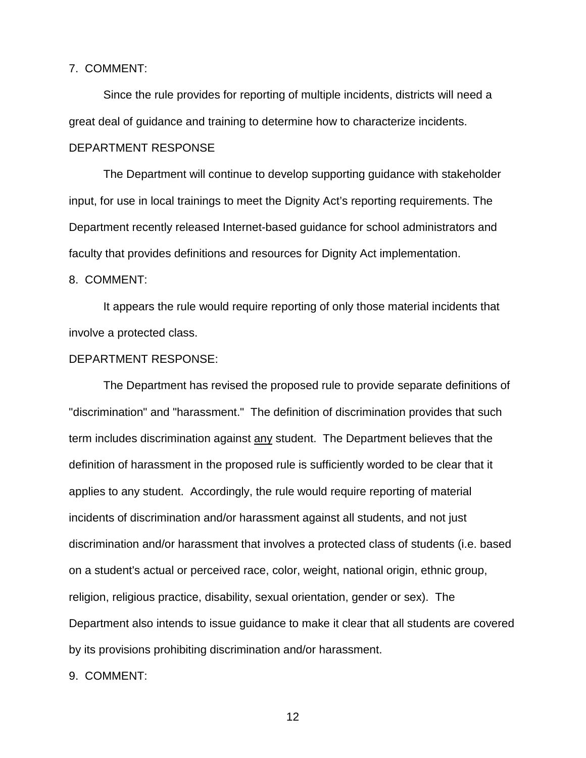## 7. COMMENT:

Since the rule provides for reporting of multiple incidents, districts will need a great deal of guidance and training to determine how to characterize incidents.

#### DEPARTMENT RESPONSE

The Department will continue to develop supporting guidance with stakeholder input, for use in local trainings to meet the Dignity Act's reporting requirements. The Department recently released Internet-based guidance for school administrators and faculty that provides definitions and resources for Dignity Act implementation.

#### 8. COMMENT:

It appears the rule would require reporting of only those material incidents that involve a protected class.

#### DEPARTMENT RESPONSE:

The Department has revised the proposed rule to provide separate definitions of "discrimination" and "harassment." The definition of discrimination provides that such term includes discrimination against any student. The Department believes that the definition of harassment in the proposed rule is sufficiently worded to be clear that it applies to any student. Accordingly, the rule would require reporting of material incidents of discrimination and/or harassment against all students, and not just discrimination and/or harassment that involves a protected class of students (i.e. based on a student's actual or perceived race, color, weight, national origin, ethnic group, religion, religious practice, disability, sexual orientation, gender or sex). The Department also intends to issue guidance to make it clear that all students are covered by its provisions prohibiting discrimination and/or harassment.

9. COMMENT: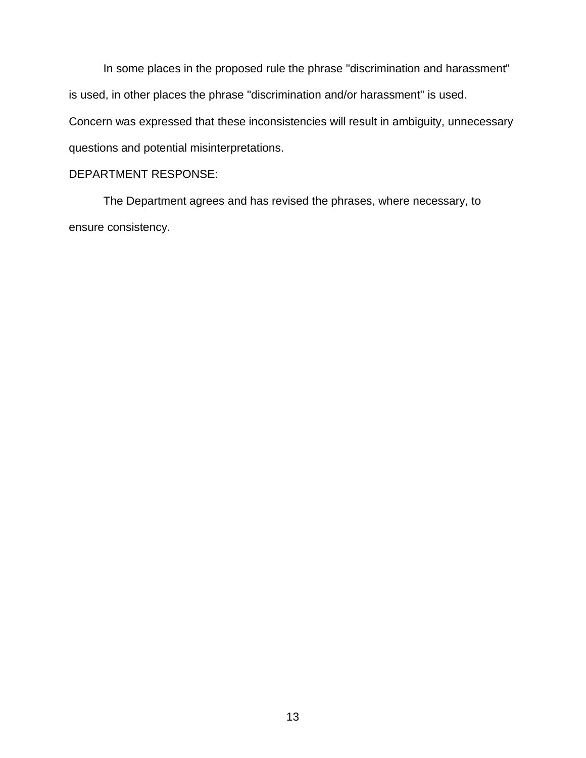In some places in the proposed rule the phrase "discrimination and harassment" is used, in other places the phrase "discrimination and/or harassment" is used. Concern was expressed that these inconsistencies will result in ambiguity, unnecessary questions and potential misinterpretations.

# DEPARTMENT RESPONSE:

The Department agrees and has revised the phrases, where necessary, to ensure consistency.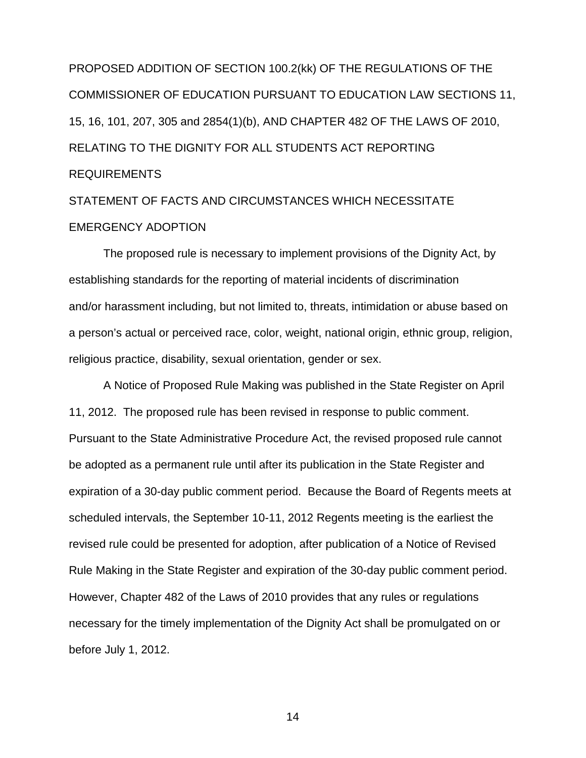PROPOSED ADDITION OF SECTION 100.2(kk) OF THE REGULATIONS OF THE COMMISSIONER OF EDUCATION PURSUANT TO EDUCATION LAW SECTIONS 11, 15, 16, 101, 207, 305 and 2854(1)(b), AND CHAPTER 482 OF THE LAWS OF 2010, RELATING TO THE DIGNITY FOR ALL STUDENTS ACT REPORTING REQUIREMENTS

# STATEMENT OF FACTS AND CIRCUMSTANCES WHICH NECESSITATE EMERGENCY ADOPTION

The proposed rule is necessary to implement provisions of the Dignity Act, by establishing standards for the reporting of material incidents of discrimination and/or harassment including, but not limited to, threats, intimidation or abuse based on a person's actual or perceived race, color, weight, national origin, ethnic group, religion, religious practice, disability, sexual orientation, gender or sex.

A Notice of Proposed Rule Making was published in the State Register on April 11, 2012. The proposed rule has been revised in response to public comment. Pursuant to the State Administrative Procedure Act, the revised proposed rule cannot be adopted as a permanent rule until after its publication in the State Register and expiration of a 30-day public comment period. Because the Board of Regents meets at scheduled intervals, the September 10-11, 2012 Regents meeting is the earliest the revised rule could be presented for adoption, after publication of a Notice of Revised Rule Making in the State Register and expiration of the 30-day public comment period. However, Chapter 482 of the Laws of 2010 provides that any rules or regulations necessary for the timely implementation of the Dignity Act shall be promulgated on or before July 1, 2012.